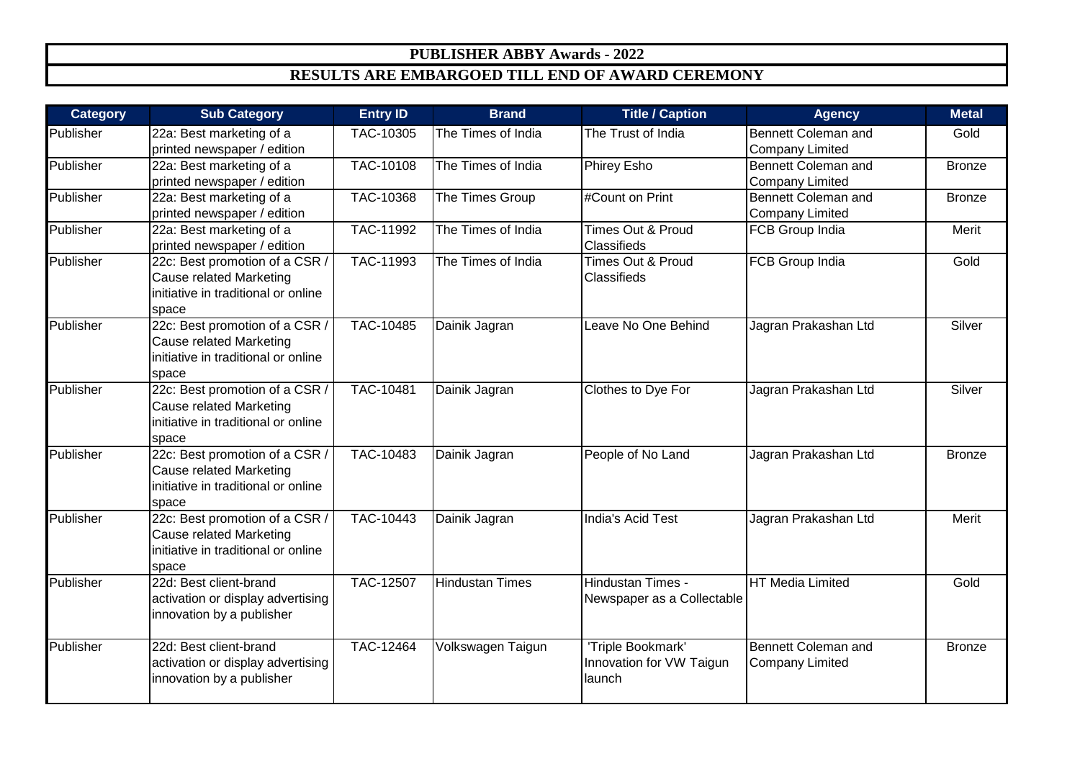## **PUBLISHER ABBY Awards - 2022 RESULTS ARE EMBARGOED TILL END OF AWARD CEREMONY**

| <b>Category</b> | <b>Sub Category</b>                                                                                              | <b>Entry ID</b>  | <b>Brand</b>           | <b>Title / Caption</b>                                  | <b>Agency</b>                                 | <b>Metal</b>  |
|-----------------|------------------------------------------------------------------------------------------------------------------|------------------|------------------------|---------------------------------------------------------|-----------------------------------------------|---------------|
| Publisher       | 22a: Best marketing of a<br>printed newspaper / edition                                                          | TAC-10305        | The Times of India     | The Trust of India                                      | Bennett Coleman and<br><b>Company Limited</b> | Gold          |
| Publisher       | 22a: Best marketing of a<br>printed newspaper / edition                                                          | <b>TAC-10108</b> | The Times of India     | Phirey Esho                                             | Bennett Coleman and<br><b>Company Limited</b> | <b>Bronze</b> |
| Publisher       | 22a: Best marketing of a<br>printed newspaper / edition                                                          | TAC-10368        | The Times Group        | #Count on Print                                         | Bennett Coleman and<br><b>Company Limited</b> | <b>Bronze</b> |
| Publisher       | 22a: Best marketing of a<br>printed newspaper / edition                                                          | <b>TAC-11992</b> | The Times of India     | Times Out & Proud<br>Classifieds                        | FCB Group India                               | Merit         |
| Publisher       | 22c: Best promotion of a CSR /<br><b>Cause related Marketing</b><br>initiative in traditional or online<br>space | TAC-11993        | The Times of India     | <b>Times Out &amp; Proud</b><br>Classifieds             | <b>FCB Group India</b>                        | Gold          |
| Publisher       | 22c: Best promotion of a CSR<br><b>Cause related Marketing</b><br>initiative in traditional or online<br>space   | TAC-10485        | Dainik Jagran          | Leave No One Behind                                     | Jagran Prakashan Ltd                          | Silver        |
| Publisher       | 22c: Best promotion of a CSR<br><b>Cause related Marketing</b><br>initiative in traditional or online<br>space   | TAC-10481        | Dainik Jagran          | Clothes to Dye For                                      | Jagran Prakashan Ltd                          | Silver        |
| Publisher       | 22c: Best promotion of a CSR /<br><b>Cause related Marketing</b><br>initiative in traditional or online<br>space | TAC-10483        | Dainik Jagran          | People of No Land                                       | Jagran Prakashan Ltd                          | <b>Bronze</b> |
| Publisher       | 22c: Best promotion of a CSR /<br><b>Cause related Marketing</b><br>initiative in traditional or online<br>space | TAC-10443        | Dainik Jagran          | India's Acid Test                                       | Jagran Prakashan Ltd                          | Merit         |
| Publisher       | 22d: Best client-brand<br>activation or display advertising<br>innovation by a publisher                         | <b>TAC-12507</b> | <b>Hindustan Times</b> | <b>Hindustan Times -</b><br>Newspaper as a Collectable  | <b>HT Media Limited</b>                       | Gold          |
| Publisher       | 22d: Best client-brand<br>activation or display advertising<br>innovation by a publisher                         | TAC-12464        | Volkswagen Taigun      | 'Triple Bookmark'<br>Innovation for VW Taigun<br>launch | Bennett Coleman and<br><b>Company Limited</b> | <b>Bronze</b> |